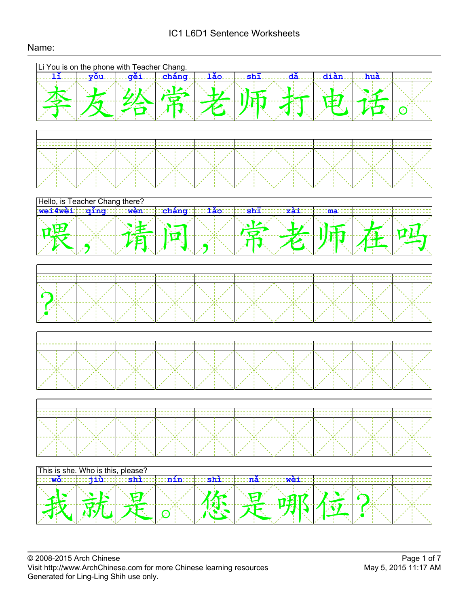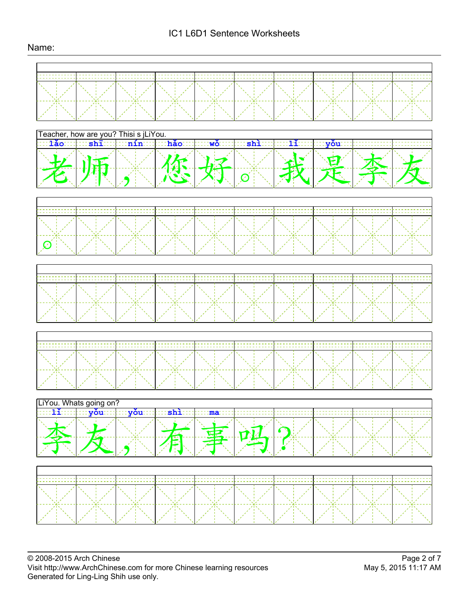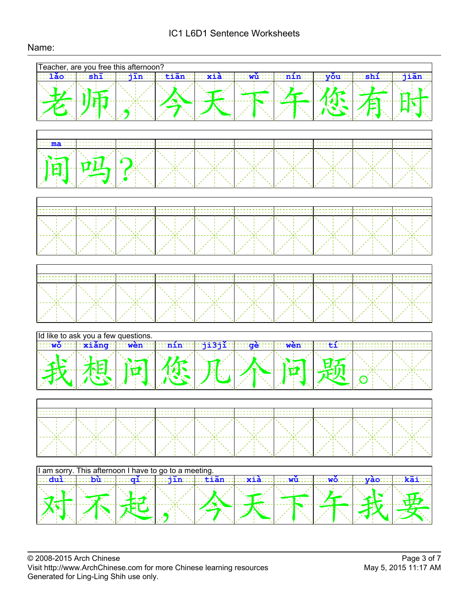# IC1 L6D1 Sentence Worksheets

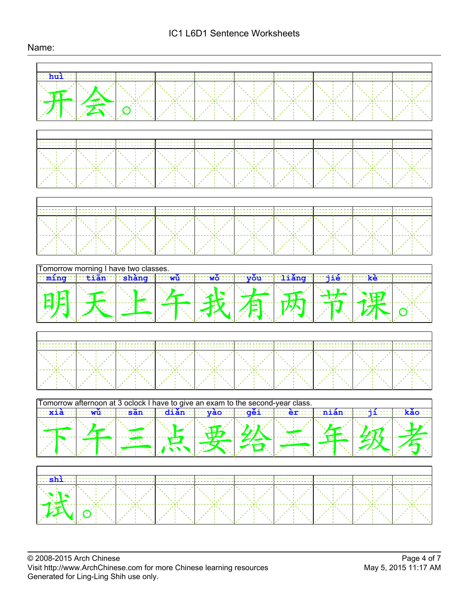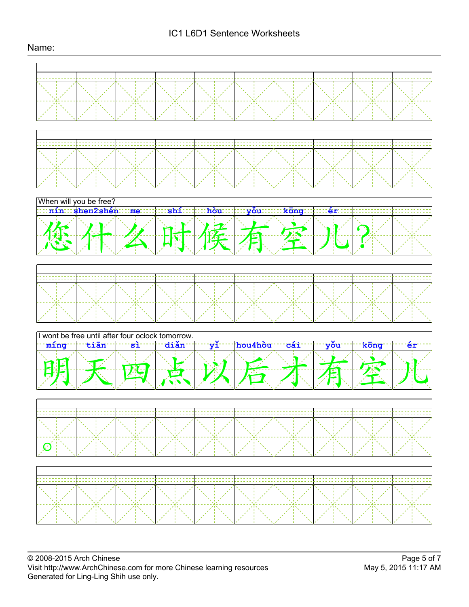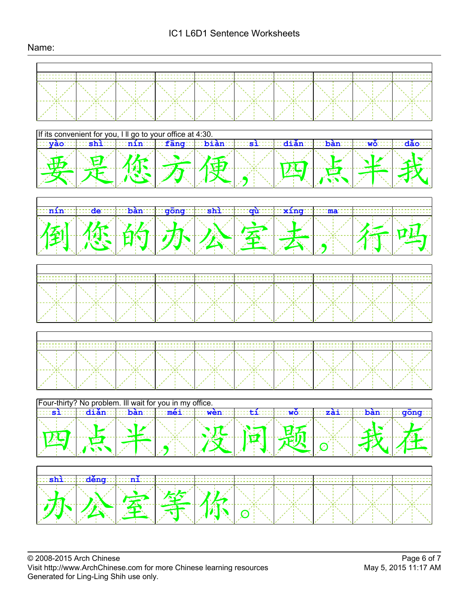